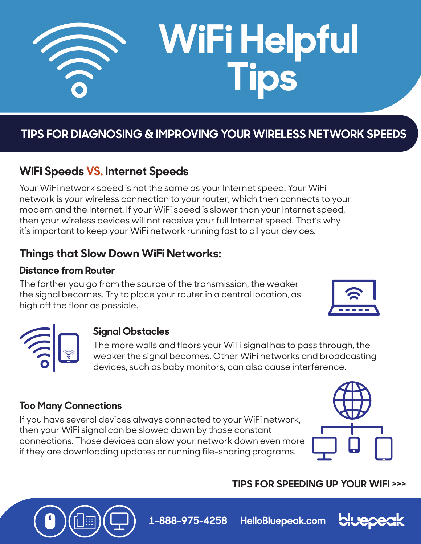

# **WiFi Helpful Tips**

## **TIPS FOR DIAGNOSING & IMPROVING YOUR WIRELESS NETWORK SPEEDS**

## **WiFi Speeds VS. Internet Speeds**

Your WiFi network speed is not the same as your Internet speed. Your WiFi network is your wireless connection to your router, which then connects to your modem and the Internet. If your WiFi speed is slower than your Internet speed, then your wireless devices will not receive your full Internet speed. That's why it's important to keep your WiFi network running fast to all your devices.

## **Things that Slow Down WiFi Networks:**

## **Distance from Router**

The farther you go from the source of the transmission, the weaker the signal becomes. Try to place your router in a central location, as high off the floor as possible.





## **Signal Obstacles**

The more walls and floors your WiFi signal has to pass through, the weaker the signal becomes. Other WiFi networks and broadcasting devices, such as baby monitors, can also cause interference.

## **Too Many Connections**

If you have several devices always connected to your WiFi network, then your WiFi signal can be slowed down by those constant connections. Those devices can slow your network down even more if they are downloading updates or running file-sharing programs.



## **TIPS FOR SPEEDING UP YOUR WIFI >>>**



**1-888-975-4258 HelloBluepeak.com**